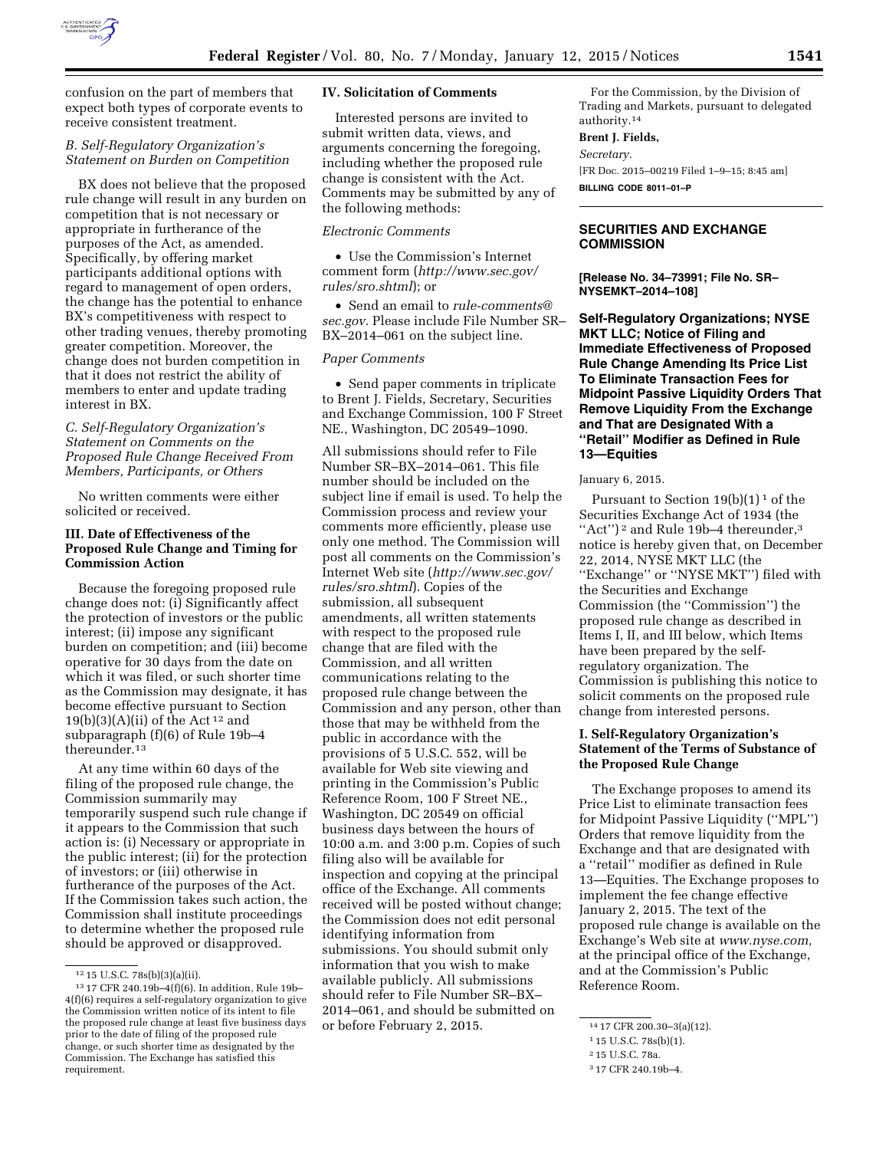

confusion on the part of members that expect both types of corporate events to receive consistent treatment.

### *B. Self-Regulatory Organization's Statement on Burden on Competition*

BX does not believe that the proposed rule change will result in any burden on competition that is not necessary or appropriate in furtherance of the purposes of the Act, as amended. Specifically, by offering market participants additional options with regard to management of open orders, the change has the potential to enhance BX's competitiveness with respect to other trading venues, thereby promoting greater competition. Moreover, the change does not burden competition in that it does not restrict the ability of members to enter and update trading interest in BX.

### *C. Self-Regulatory Organization's Statement on Comments on the Proposed Rule Change Received From Members, Participants, or Others*

No written comments were either solicited or received.

### **III. Date of Effectiveness of the Proposed Rule Change and Timing for Commission Action**

Because the foregoing proposed rule change does not: (i) Significantly affect the protection of investors or the public interest; (ii) impose any significant burden on competition; and (iii) become operative for 30 days from the date on which it was filed, or such shorter time as the Commission may designate, it has become effective pursuant to Section  $19(b)(3)(A)(ii)$  of the Act<sup>12</sup> and subparagraph (f)(6) of Rule 19b–4 thereunder.13

At any time within 60 days of the filing of the proposed rule change, the Commission summarily may temporarily suspend such rule change if it appears to the Commission that such action is: (i) Necessary or appropriate in the public interest; (ii) for the protection of investors; or (iii) otherwise in furtherance of the purposes of the Act. If the Commission takes such action, the Commission shall institute proceedings to determine whether the proposed rule should be approved or disapproved.

### **IV. Solicitation of Comments**

Interested persons are invited to submit written data, views, and arguments concerning the foregoing, including whether the proposed rule change is consistent with the Act. Comments may be submitted by any of the following methods:

#### *Electronic Comments*

• Use the Commission's Internet comment form (*[http://www.sec.gov/](http://www.sec.gov/rules/sro.shtml) [rules/sro.shtml](http://www.sec.gov/rules/sro.shtml)*); or

• Send an email to *[rule-comments@](mailto:rule-comments@sec.gov) [sec.gov.](mailto:rule-comments@sec.gov)* Please include File Number SR– BX–2014–061 on the subject line.

### *Paper Comments*

• Send paper comments in triplicate to Brent J. Fields, Secretary, Securities and Exchange Commission, 100 F Street NE., Washington, DC 20549–1090.

All submissions should refer to File Number SR–BX–2014–061. This file number should be included on the subject line if email is used. To help the Commission process and review your comments more efficiently, please use only one method. The Commission will post all comments on the Commission's Internet Web site (*[http://www.sec.gov/](http://www.sec.gov/rules/sro.shtml) [rules/sro.shtml](http://www.sec.gov/rules/sro.shtml)*). Copies of the submission, all subsequent amendments, all written statements with respect to the proposed rule change that are filed with the Commission, and all written communications relating to the proposed rule change between the Commission and any person, other than those that may be withheld from the public in accordance with the provisions of 5 U.S.C. 552, will be available for Web site viewing and printing in the Commission's Public Reference Room, 100 F Street NE., Washington, DC 20549 on official business days between the hours of 10:00 a.m. and 3:00 p.m. Copies of such filing also will be available for inspection and copying at the principal office of the Exchange. All comments received will be posted without change; the Commission does not edit personal identifying information from submissions. You should submit only information that you wish to make available publicly. All submissions should refer to File Number SR–BX– 2014–061, and should be submitted on or before February 2, 2015.

For the Commission, by the Division of Trading and Markets, pursuant to delegated authority.14

#### **Brent J. Fields,**

*Secretary.*  [FR Doc. 2015–00219 Filed 1–9–15; 8:45 am]

**BILLING CODE 8011–01–P** 

# **SECURITIES AND EXCHANGE COMMISSION**

**[Release No. 34–73991; File No. SR– NYSEMKT–2014–108]** 

**Self-Regulatory Organizations; NYSE MKT LLC; Notice of Filing and Immediate Effectiveness of Proposed Rule Change Amending Its Price List To Eliminate Transaction Fees for Midpoint Passive Liquidity Orders That Remove Liquidity From the Exchange and That are Designated With a ''Retail'' Modifier as Defined in Rule 13—Equities** 

#### January 6, 2015.

Pursuant to Section  $19(b)(1)^1$  of the Securities Exchange Act of 1934 (the "Act")<sup>2</sup> and Rule 19b-4 thereunder,<sup>3</sup> notice is hereby given that, on December 22, 2014, NYSE MKT LLC (the ''Exchange'' or ''NYSE MKT'') filed with the Securities and Exchange Commission (the ''Commission'') the proposed rule change as described in Items I, II, and III below, which Items have been prepared by the selfregulatory organization. The Commission is publishing this notice to solicit comments on the proposed rule change from interested persons.

## **I. Self-Regulatory Organization's Statement of the Terms of Substance of the Proposed Rule Change**

The Exchange proposes to amend its Price List to eliminate transaction fees for Midpoint Passive Liquidity (''MPL'') Orders that remove liquidity from the Exchange and that are designated with a ''retail'' modifier as defined in Rule 13—Equities. The Exchange proposes to implement the fee change effective January 2, 2015. The text of the proposed rule change is available on the Exchange's Web site at *[www.nyse.com,](http://www.nyse.com)*  at the principal office of the Exchange, and at the Commission's Public Reference Room.

 $^{12}\,15$  U.S.C. 78s(b)(3)(a)(ii).

<sup>13</sup> 17 CFR 240.19b–4(f)(6). In addition, Rule 19b– 4(f)(6) requires a self-regulatory organization to give the Commission written notice of its intent to file the proposed rule change at least five business days prior to the date of filing of the proposed rule change, or such shorter time as designated by the Commission. The Exchange has satisfied this requirement.

<sup>14</sup> 17 CFR 200.30–3(a)(12).

<sup>1</sup> 15 U.S.C. 78s(b)(1).

<sup>2</sup> 15 U.S.C. 78a.

<sup>3</sup> 17 CFR 240.19b–4.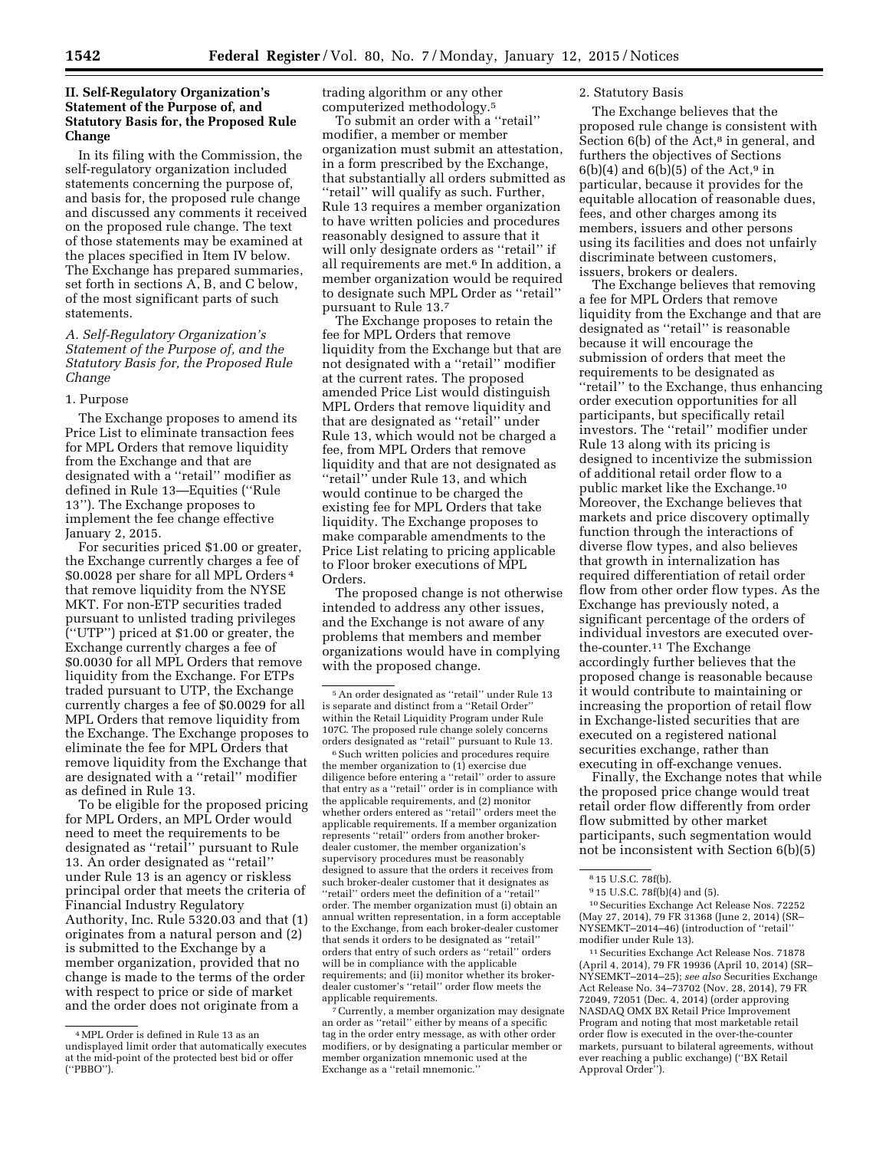### **II. Self-Regulatory Organization's Statement of the Purpose of, and Statutory Basis for, the Proposed Rule Change**

In its filing with the Commission, the self-regulatory organization included statements concerning the purpose of, and basis for, the proposed rule change and discussed any comments it received on the proposed rule change. The text of those statements may be examined at the places specified in Item IV below. The Exchange has prepared summaries, set forth in sections A, B, and C below, of the most significant parts of such statements.

### *A. Self-Regulatory Organization's Statement of the Purpose of, and the Statutory Basis for, the Proposed Rule Change*

#### 1. Purpose

The Exchange proposes to amend its Price List to eliminate transaction fees for MPL Orders that remove liquidity from the Exchange and that are designated with a ''retail'' modifier as defined in Rule 13—Equities (''Rule 13''). The Exchange proposes to implement the fee change effective January 2, 2015.

For securities priced \$1.00 or greater, the Exchange currently charges a fee of \$0.0028 per share for all MPL Orders 4 that remove liquidity from the NYSE MKT. For non-ETP securities traded pursuant to unlisted trading privileges (''UTP'') priced at \$1.00 or greater, the Exchange currently charges a fee of \$0.0030 for all MPL Orders that remove liquidity from the Exchange. For ETPs traded pursuant to UTP, the Exchange currently charges a fee of \$0.0029 for all MPL Orders that remove liquidity from the Exchange. The Exchange proposes to eliminate the fee for MPL Orders that remove liquidity from the Exchange that are designated with a ''retail'' modifier as defined in Rule 13.

To be eligible for the proposed pricing for MPL Orders, an MPL Order would need to meet the requirements to be designated as ''retail'' pursuant to Rule 13. An order designated as ''retail'' under Rule 13 is an agency or riskless principal order that meets the criteria of Financial Industry Regulatory Authority, Inc. Rule 5320.03 and that (1) originates from a natural person and (2) is submitted to the Exchange by a member organization, provided that no change is made to the terms of the order with respect to price or side of market and the order does not originate from a

trading algorithm or any other computerized methodology.5

To submit an order with a "retail" modifier, a member or member organization must submit an attestation, in a form prescribed by the Exchange, that substantially all orders submitted as ''retail'' will qualify as such. Further, Rule 13 requires a member organization to have written policies and procedures reasonably designed to assure that it will only designate orders as "retail" if all requirements are met.<sup>6</sup> In addition, a member organization would be required to designate such MPL Order as ''retail'' pursuant to Rule 13.7

The Exchange proposes to retain the fee for MPL Orders that remove liquidity from the Exchange but that are not designated with a ''retail'' modifier at the current rates. The proposed amended Price List would distinguish MPL Orders that remove liquidity and that are designated as ''retail'' under Rule 13, which would not be charged a fee, from MPL Orders that remove liquidity and that are not designated as ''retail'' under Rule 13, and which would continue to be charged the existing fee for MPL Orders that take liquidity. The Exchange proposes to make comparable amendments to the Price List relating to pricing applicable to Floor broker executions of MPL Orders.

The proposed change is not otherwise intended to address any other issues, and the Exchange is not aware of any problems that members and member organizations would have in complying with the proposed change.

<sup>6</sup> Such written policies and procedures require the member organization to (1) exercise due diligence before entering a ''retail'' order to assure that entry as a ''retail'' order is in compliance with the applicable requirements, and (2) monitor whether orders entered as ''retail'' orders meet the applicable requirements. If a member organization represents ''retail'' orders from another brokerdealer customer, the member organization's supervisory procedures must be reasonably designed to assure that the orders it receives from such broker-dealer customer that it designates as ''retail'' orders meet the definition of a ''retail'' order. The member organization must (i) obtain an annual written representation, in a form acceptable to the Exchange, from each broker-dealer customer that sends it orders to be designated as ''retail'' orders that entry of such orders as ''retail'' orders will be in compliance with the applicable requirements; and (ii) monitor whether its brokerdealer customer's ''retail'' order flow meets the applicable requirements.

7Currently, a member organization may designate an order as ''retail'' either by means of a specific tag in the order entry message, as with other order modifiers, or by designating a particular member or member organization mnemonic used at the Exchange as a ''retail mnemonic.''

#### 2. Statutory Basis

The Exchange believes that the proposed rule change is consistent with Section  $6(b)$  of the Act, $8$  in general, and furthers the objectives of Sections  $6(b)(4)$  and  $6(b)(5)$  of the Act,<sup>9</sup> in particular, because it provides for the equitable allocation of reasonable dues, fees, and other charges among its members, issuers and other persons using its facilities and does not unfairly discriminate between customers, issuers, brokers or dealers.

The Exchange believes that removing a fee for MPL Orders that remove liquidity from the Exchange and that are designated as ''retail'' is reasonable because it will encourage the submission of orders that meet the requirements to be designated as ''retail'' to the Exchange, thus enhancing order execution opportunities for all participants, but specifically retail investors. The ''retail'' modifier under Rule 13 along with its pricing is designed to incentivize the submission of additional retail order flow to a public market like the Exchange.10 Moreover, the Exchange believes that markets and price discovery optimally function through the interactions of diverse flow types, and also believes that growth in internalization has required differentiation of retail order flow from other order flow types. As the Exchange has previously noted, a significant percentage of the orders of individual investors are executed overthe-counter.11 The Exchange accordingly further believes that the proposed change is reasonable because it would contribute to maintaining or increasing the proportion of retail flow in Exchange-listed securities that are executed on a registered national securities exchange, rather than executing in off-exchange venues.

Finally, the Exchange notes that while the proposed price change would treat retail order flow differently from order flow submitted by other market participants, such segmentation would not be inconsistent with Section 6(b)(5)

10Securities Exchange Act Release Nos. 72252 (May 27, 2014), 79 FR 31368 (June 2, 2014) (SR– NYSEMKT–2014–46) (introduction of ''retail'' modifier under Rule 13).

11Securities Exchange Act Release Nos. 71878 (April 4, 2014), 79 FR 19936 (April 10, 2014) (SR– NYSEMKT–2014–25); *see also* Securities Exchange Act Release No. 34–73702 (Nov. 28, 2014), 79 FR 72049, 72051 (Dec. 4, 2014) (order approving NASDAQ OMX BX Retail Price Improvement Program and noting that most marketable retail order flow is executed in the over-the-counter markets, pursuant to bilateral agreements, without ever reaching a public exchange) (''BX Retail Approval Order'').

<sup>4</sup>MPL Order is defined in Rule 13 as an undisplayed limit order that automatically executes at the mid-point of the protected best bid or offer (''PBBO'').

<sup>5</sup>An order designated as ''retail'' under Rule 13 is separate and distinct from a ''Retail Order'' within the Retail Liquidity Program under Rule 107C. The proposed rule change solely concerns orders designated as ''retail'' pursuant to Rule 13.

<sup>8</sup> 15 U.S.C. 78f(b).

<sup>9</sup> 15 U.S.C. 78f(b)(4) and (5).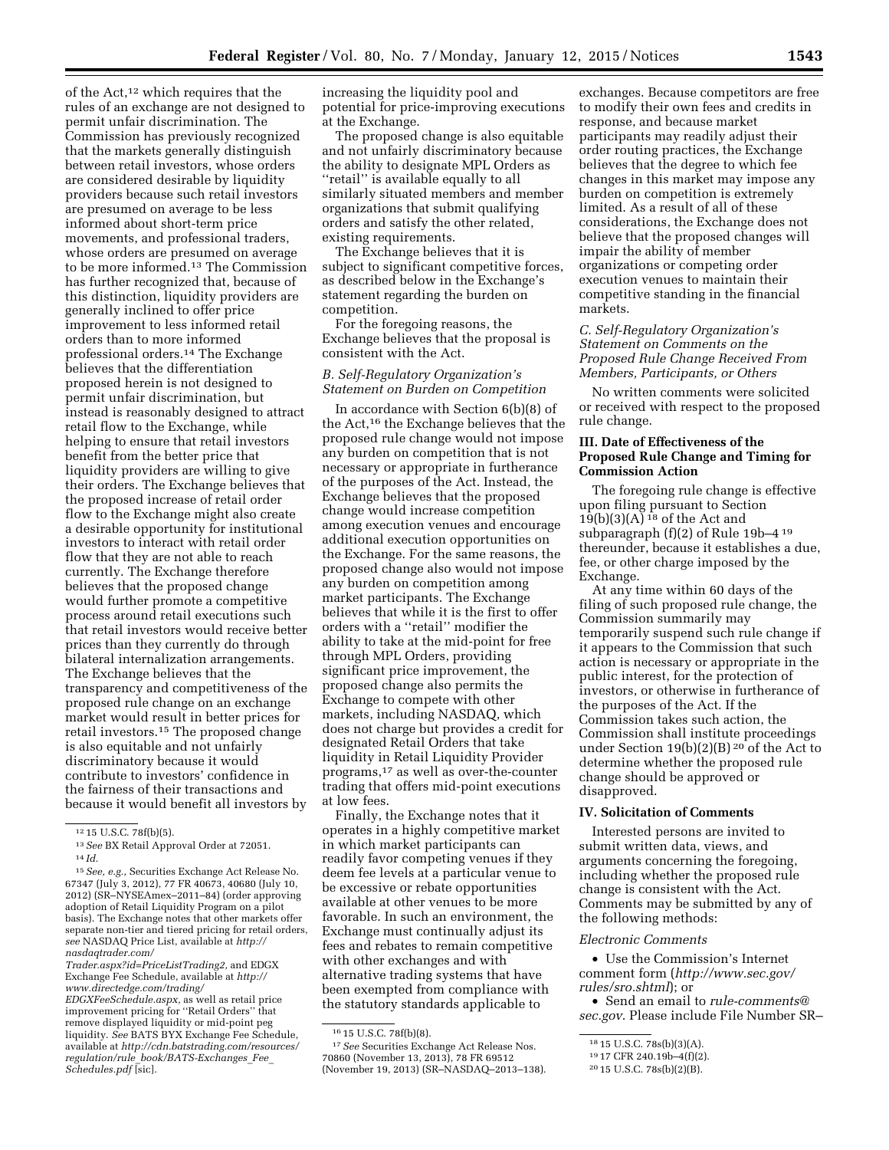of the Act,12 which requires that the rules of an exchange are not designed to permit unfair discrimination. The Commission has previously recognized that the markets generally distinguish between retail investors, whose orders are considered desirable by liquidity providers because such retail investors are presumed on average to be less informed about short-term price movements, and professional traders, whose orders are presumed on average to be more informed.13 The Commission has further recognized that, because of this distinction, liquidity providers are generally inclined to offer price improvement to less informed retail orders than to more informed professional orders.14 The Exchange believes that the differentiation proposed herein is not designed to permit unfair discrimination, but instead is reasonably designed to attract retail flow to the Exchange, while helping to ensure that retail investors benefit from the better price that liquidity providers are willing to give their orders. The Exchange believes that the proposed increase of retail order flow to the Exchange might also create a desirable opportunity for institutional investors to interact with retail order flow that they are not able to reach currently. The Exchange therefore believes that the proposed change would further promote a competitive process around retail executions such that retail investors would receive better prices than they currently do through bilateral internalization arrangements. The Exchange believes that the transparency and competitiveness of the proposed rule change on an exchange market would result in better prices for retail investors.15 The proposed change is also equitable and not unfairly discriminatory because it would contribute to investors' confidence in the fairness of their transactions and because it would benefit all investors by

13*See* BX Retail Approval Order at 72051. 14 *Id.* 

*[Trader.aspx?id=PriceListTrading2,](http://nasdaqtrader.com/Trader.aspx?id=PriceListTrading2)* and EDGX Exchange Fee Schedule, available at *[http://](http://www.directedge.com/trading/EDGXFeeSchedule.aspx) [www.directedge.com/trading/](http://www.directedge.com/trading/EDGXFeeSchedule.aspx)*

increasing the liquidity pool and potential for price-improving executions at the Exchange.

The proposed change is also equitable and not unfairly discriminatory because the ability to designate MPL Orders as ''retail'' is available equally to all similarly situated members and member organizations that submit qualifying orders and satisfy the other related, existing requirements.

The Exchange believes that it is subject to significant competitive forces, as described below in the Exchange's statement regarding the burden on competition.

For the foregoing reasons, the Exchange believes that the proposal is consistent with the Act.

# *B. Self-Regulatory Organization's Statement on Burden on Competition*

In accordance with Section 6(b)(8) of the Act,16 the Exchange believes that the proposed rule change would not impose any burden on competition that is not necessary or appropriate in furtherance of the purposes of the Act. Instead, the Exchange believes that the proposed change would increase competition among execution venues and encourage additional execution opportunities on the Exchange. For the same reasons, the proposed change also would not impose any burden on competition among market participants. The Exchange believes that while it is the first to offer orders with a ''retail'' modifier the ability to take at the mid-point for free through MPL Orders, providing significant price improvement, the proposed change also permits the Exchange to compete with other markets, including NASDAQ, which does not charge but provides a credit for designated Retail Orders that take liquidity in Retail Liquidity Provider programs,17 as well as over-the-counter trading that offers mid-point executions at low fees.

Finally, the Exchange notes that it operates in a highly competitive market in which market participants can readily favor competing venues if they deem fee levels at a particular venue to be excessive or rebate opportunities available at other venues to be more favorable. In such an environment, the Exchange must continually adjust its fees and rebates to remain competitive with other exchanges and with alternative trading systems that have been exempted from compliance with the statutory standards applicable to

17*See* Securities Exchange Act Release Nos. 70860 (November 13, 2013), 78 FR 69512 (November 19, 2013) (SR–NASDAQ–2013–138).

exchanges. Because competitors are free to modify their own fees and credits in response, and because market participants may readily adjust their order routing practices, the Exchange believes that the degree to which fee changes in this market may impose any burden on competition is extremely limited. As a result of all of these considerations, the Exchange does not believe that the proposed changes will impair the ability of member organizations or competing order execution venues to maintain their competitive standing in the financial markets.

### *C. Self-Regulatory Organization's Statement on Comments on the Proposed Rule Change Received From Members, Participants, or Others*

No written comments were solicited or received with respect to the proposed rule change.

### **III. Date of Effectiveness of the Proposed Rule Change and Timing for Commission Action**

The foregoing rule change is effective upon filing pursuant to Section  $19(b)(3)(A)$ <sup>18</sup> of the Act and subparagraph (f)(2) of Rule 19b–4 19 thereunder, because it establishes a due, fee, or other charge imposed by the Exchange.

At any time within 60 days of the filing of such proposed rule change, the Commission summarily may temporarily suspend such rule change if it appears to the Commission that such action is necessary or appropriate in the public interest, for the protection of investors, or otherwise in furtherance of the purposes of the Act. If the Commission takes such action, the Commission shall institute proceedings under Section 19(b)(2)(B) 20 of the Act to determine whether the proposed rule change should be approved or disapproved.

# **IV. Solicitation of Comments**

Interested persons are invited to submit written data, views, and arguments concerning the foregoing, including whether the proposed rule change is consistent with the Act. Comments may be submitted by any of the following methods:

#### *Electronic Comments*

• Use the Commission's Internet comment form (*[http://www.sec.gov/](http://www.sec.gov/rules/sro.shtml) [rules/sro.shtml](http://www.sec.gov/rules/sro.shtml)*); or

• Send an email to *[rule-comments@](mailto:rule-comments@sec.gov) [sec.gov](mailto:rule-comments@sec.gov)*. Please include File Number SR–

<sup>12</sup> 15 U.S.C. 78f(b)(5).

<sup>15</sup>*See, e.g.,* Securities Exchange Act Release No. 67347 (July 3, 2012), 77 FR 40673, 40680 (July 10, 2012) (SR–NYSEAmex–2011–84) (order approving adoption of Retail Liquidity Program on a pilot basis). The Exchange notes that other markets offer separate non-tier and tiered pricing for retail orders, *see* NASDAQ Price List, available at *[http://](http://nasdaqtrader.com/Trader.aspx?id=PriceListTrading2) [nasdaqtrader.com/](http://nasdaqtrader.com/Trader.aspx?id=PriceListTrading2)*

*[EDGXFeeSchedule.aspx,](http://www.directedge.com/trading/EDGXFeeSchedule.aspx)* as well as retail price improvement pricing for ''Retail Orders'' that remove displayed liquidity or mid-point peg liquidity. *See* BATS BYX Exchange Fee Schedule, available at *[http://cdn.batstrading.com/resources/](http://cdn.batstrading.com/resources/regulation/rule_book/BATS-Exchanges_Fee_Schedules.pdf) regulation/rule*\_*[book/BATS-Exchanges](http://cdn.batstrading.com/resources/regulation/rule_book/BATS-Exchanges_Fee_Schedules.pdf)*\_*Fee*\_ *[Schedules.pdf](http://cdn.batstrading.com/resources/regulation/rule_book/BATS-Exchanges_Fee_Schedules.pdf)* [sic].

<sup>16</sup> 15 U.S.C. 78f(b)(8).

<sup>18</sup> 15 U.S.C. 78s(b)(3)(A). 19 17 CFR 240.19b–4(f)(2). 20 15 U.S.C. 78s(b)(2)(B).